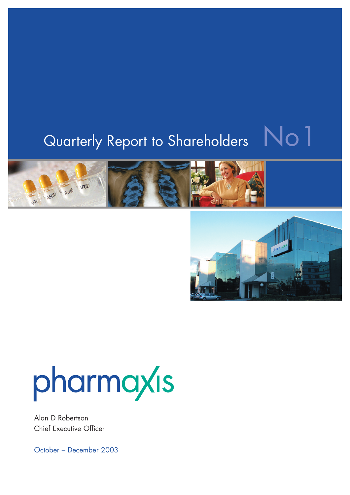# Quarterly Report to Shareholders No1









# pharmaxis

Alan D Robertson Chief Executive Officer

October – December 2003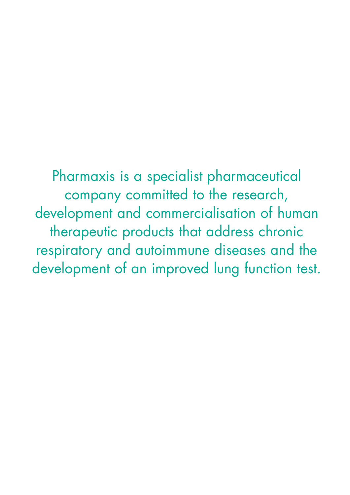Pharmaxis is a specialist pharmaceutical company committed to the research, development and commercialisation of human therapeutic products that address chronic respiratory and autoimmune diseases and the development of an improved lung function test.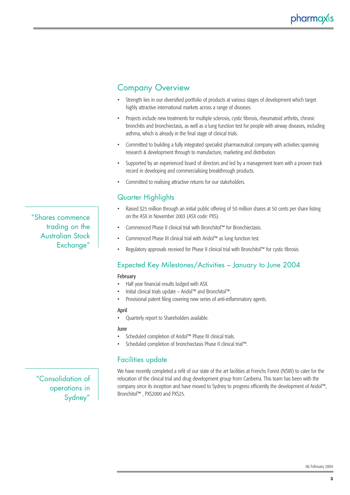# Company Overview

- Strength lies in our diversified portfolio of products at various stages of development which target highly attractive international markets across a range of diseases.
- Projects include new treatments for multiple sclerosis, cystic fibrosis, rheumatoid arthritis, chronic bronchitis and bronchiectasis, as well as a lung function test for people with airway diseases, including asthma, which is already in the final stage of clinical trials.
- Committed to building a fully integrated specialist pharmaceutical company with activities spanning research & development through to manufacture, marketing and distribution.
- Supported by an experienced board of directors and led by a management team with a proven track record in developing and commercialising breakthrough products.
- Committed to realising attractive returns for our stakeholders.

# Quarter Highlights

- Raised \$25 million through an initial public offering of 50 million shares at 50 cents per share listing on the ASX in November 2003 (ASX code: PXS).
- Commenced Phase II clinical trial with Bronchitol™ for Bronchiectasis.
- Commenced Phase III clinical trial with Aridol™ as lung function test.
- Regulatory approvals received for Phase II clinical trial with Bronchitol™ for cystic fibrosis.

# Expected Key Milestones/Activities – January to June 2004

#### February

- Half year financial results lodged with ASX.
- Initial clinical trials update Aridol™ and Bronchitol™.
- Provisional patent filing covering new series of anti-inflammatory agents.

#### April

• Quarterly report to Shareholders available.

#### June

- Scheduled completion of Aridol™ Phase III clinical trials.
- Scheduled completion of bronchiectasis Phase II clinical trial™.

# Facilities update

We have recently completed a refit of our state of the art facilities at Frenchs Forest (NSW) to cater for the relocation of the clinical trial and drug development group from Canberra. This team has been with the company since its inception and have moved to Sydney to progress efficiently the development of Aridol™, Bronchitol™ , PXS2000 and PXS25.

"Consolidation of operations in Sydney"

"Shares commence

trading on the Australian Stock

Exchange"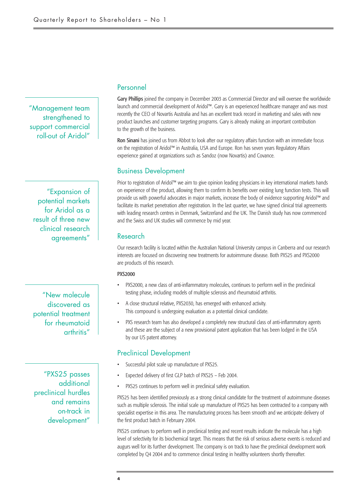"Management team strengthened to support commercial roll-out of Aridol"

"Expansion of potential markets for Aridol as a result of three new clinical research agreements"

"New molecule discovered as potential treatment for rheumatoid arthritis"

"PXS25 passes additional preclinical hurdles and remains on-track in development"

### Personnel

Gary Phillips joined the company in December 2003 as Commercial Director and will oversee the worldwide launch and commercial development of Aridol™. Gary is an experienced healthcare manager and was most recently the CEO of Novartis Australia and has an excellent track record in marketing and sales with new product launches and customer targeting programs. Gary is already making an important contribution to the growth of the business.

Ron Sinani has joined us from Abbot to look after our regulatory affairs function with an immediate focus on the registration of Aridol™ in Australia, USA and Europe. Ron has seven years Regulatory Affairs experience gained at organizations such as Sandoz (now Novartis) and Covance.

## Business Development

Prior to registration of Aridol™ we aim to give opinion leading physicians in key international markets hands on experience of the product, allowing them to confirm its benefits over existing lung function tests. This will provide us with powerful advocates in major markets, increase the body of evidence supporting Aridol™ and facilitate its market penetration after registration. In the last quarter, we have signed clinical trial agreements with leading research centres in Denmark, Switzerland and the UK. The Danish study has now commenced and the Swiss and UK studies will commence by mid year.

#### Research

Our research facility is located within the Australian National University campus in Canberra and our research interests are focused on discovering new treatments for autoimmune disease. Both PXS25 and PXS2000 are products of this research.

#### PXS2000

- PXS2000, a new class of anti-inflammatory molecules, continues to perform well in the preclinical testing phase, including models of multiple sclerosis and rheumatoid arthritis.
- A close structural relative, PXS2030, has emerged with enhanced activity. This compound is undergoing evaluation as a potential clinical candidate.
- PXS research team has also developed a completely new structural class of anti-inflammatory agents and these are the subject of a new provisional patent application that has been lodged in the USA by our US patent attorney.

#### Preclinical Development

- Successful pilot scale up manufacture of PXS25.
- Expected delivery of first GLP batch of PXS25 Feb 2004.
- PXS25 continues to perform well in preclinical safety evaluation.

PXS25 has been identified previously as a strong clinical candidate for the treatment of autoimmune diseases such as multiple sclerosis. The initial scale up manufacture of PXS25 has been contracted to a company with specialist expertise in this area. The manufacturing process has been smooth and we anticipate delivery of the first product batch in February 2004.

PXS25 continues to perform well in preclinical testing and recent results indicate the molecule has a high level of selectivity for its biochemical target. This means that the risk of serious adverse events is reduced and augurs well for its further development. The company is on track to have the preclinical development work completed by Q4 2004 and to commence clinical testing in healthy volunteers shortly thereafter.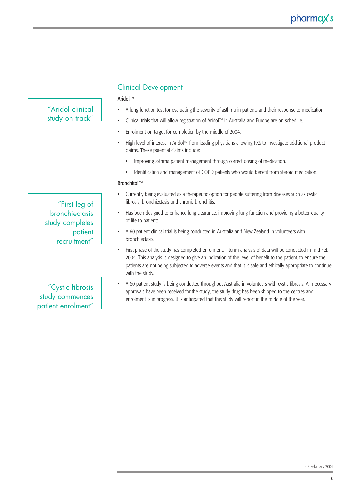|                                                              | Aridol™                                                                                                                                                                                                                                                                                                                                                 |  |  |  |
|--------------------------------------------------------------|---------------------------------------------------------------------------------------------------------------------------------------------------------------------------------------------------------------------------------------------------------------------------------------------------------------------------------------------------------|--|--|--|
| "Aridol clinical                                             | A lung function test for evaluating the severity of asthma in patients and their response to medication.                                                                                                                                                                                                                                                |  |  |  |
| study on track"                                              | Clinical trials that will allow registration of Aridol™ in Australia and Europe are on schedule.<br>$\bullet$                                                                                                                                                                                                                                           |  |  |  |
|                                                              | Enrolment on target for completion by the middle of 2004.                                                                                                                                                                                                                                                                                               |  |  |  |
|                                                              | High level of interest in Aridol™ from leading physicians allowing PXS to investigate additional product<br>claims. These potential claims include:                                                                                                                                                                                                     |  |  |  |
|                                                              | Improving asthma patient management through correct dosing of medication.                                                                                                                                                                                                                                                                               |  |  |  |
|                                                              | Identification and management of COPD patients who would benefit from steroid medication.                                                                                                                                                                                                                                                               |  |  |  |
|                                                              | Bronchitol™                                                                                                                                                                                                                                                                                                                                             |  |  |  |
| "First leg of                                                | Currently being evaluated as a therapeutic option for people suffering from diseases such as cystic<br>fibrosis, bronchiectasis and chronic bronchitis.                                                                                                                                                                                                 |  |  |  |
| bronchiectasis<br>study completes<br>patient<br>recruitment" | Has been designed to enhance lung clearance, improving lung function and providing a better quality<br>of life to patients.                                                                                                                                                                                                                             |  |  |  |
|                                                              | A 60 patient clinical trial is being conducted in Australia and New Zealand in volunteers with<br>bronchiectasis.                                                                                                                                                                                                                                       |  |  |  |
|                                                              | First phase of the study has completed enrolment, interim analysis of data will be conducted in mid-Fel<br>2004. This analysis is designed to give an indication of the level of benefit to the patient, to ensure the<br>patients are not being subjected to adverse events and that it is safe and ethically appropriate to contin<br>with the study. |  |  |  |
| "Cystic fibrosis"<br>study commences<br>patient enrolment"   | A 60 patient study is being conducted throughout Australia in volunteers with cystic fibrosis. All necessary<br>approvals have been received for the study, the study drug has been shipped to the centres and<br>enrolment is in progress. It is anticipated that this study will report in the middle of the year.                                    |  |  |  |

Clinical Development

- First phase of the study has completed enrolment, interim analysis of data will be conducted in mid-Feb patients are not being subjected to adverse events and that it is safe and ethically appropriate to continue
- A 60 patient study is being conducted throughout Australia in volunteers with cystic fibrosis. All necessary

06 February 2004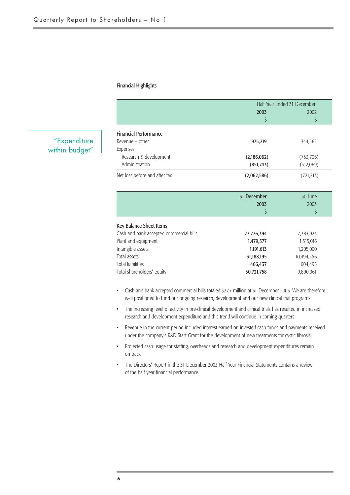#### Financial Highlights

|                               | Half Year Ended 31 December |            |  |
|-------------------------------|-----------------------------|------------|--|
|                               | 2003                        | 2002       |  |
|                               |                             |            |  |
| <b>Financial Performance</b>  |                             |            |  |
| Revenue $-$ other             | 975,219                     | 344,562    |  |
| Expenses                      |                             |            |  |
| Research & development        | (2,186,062)                 | (753, 706) |  |
| Administration                | (851, 743)                  | (312,069)  |  |
| Net loss before and after tax | (2,062,586)                 | (721, 213) |  |

|                                                                    | 31 December<br>2003 | 30 June<br>2003 |
|--------------------------------------------------------------------|---------------------|-----------------|
| Key Balance Sheet Items<br>Cash and bank accepted commercial bills | 27,726,394          | 7,383,923       |

| Cash and bank accepted commercial bills ( | 27,726,394 | 7.585.925  |
|-------------------------------------------|------------|------------|
| Plant and equipment                       | 1,479,577  | 1,515,016  |
| Intangible assets                         | 1,191,613  | 1,205,000  |
| Total assets                              | 31,188,195 | 10,494,556 |
| Total liabilities                         | 466.437    | 604.495    |
| Total shareholders' equity                | 30,721,758 | 9,890,061  |
|                                           |            |            |

- Cash and bank accepted commercial bills totaled \$27.7 million at 31 December 2003. We are therefore well positioned to fund our ongoing research, development and our new clinical trial programs.
- The increasing level of activity in pre-clinical development and clinical trials has resulted in increased research and development expenditure and this trend will continue in coming quarters.
- Revenue in the current period included interest earned on invested cash funds and payments received under the company's R&D Start Grant for the development of new treatments for cystic fibrosis.
- Projected cash usage for staffing, overheads and research and development expenditures remain on track.
- The Directors' Report in the 31 December 2003 Half Year Financial Statements contains a review of the half year financial performance.

# "Expenditure within budget"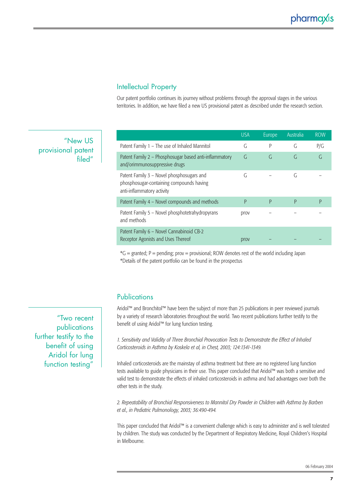# Intellectual Property

Our patent portfolio continues its journey without problems through the approval stages in the various territories. In addition, we have filed a new US provisional patent as described under the research section.

"New US provisional patent filed"

|                                                                                                                     | <b>USA</b> | Europe | Australia | <b>ROW</b> |
|---------------------------------------------------------------------------------------------------------------------|------------|--------|-----------|------------|
| Patent Family 1 – The use of Inhaled Mannitol                                                                       | G          | P      | G         | P/G        |
| Patent Family 2 - Phosphosugar based anti-inflammatory<br>and/orimmunosuppressive drugs                             | G          | G      | G         | G          |
| Patent Family 3 - Novel phosphosugars and<br>phosphosugar-containing compounds having<br>anti-inflammatory activity | G          |        | G         |            |
| Patent Family 4 - Novel compounds and methods                                                                       | P          | P      | P         | P          |
| Patent Family 5 - Novel phosphotetrahydropyrans<br>and methods                                                      | prov       |        |           |            |
| Patent Family 6 - Novel Cannabinoid CB-2<br>Receptor Agonists and Uses Thereof                                      | prov       |        |           |            |

 $*G =$  granted; P = pending; prov = provisional; ROW denotes rest of the world including Japan \*Details of the patent portfolio can be found in the prospectus

# Publications

Aridol™ and Bronchitol™ have been the subject of more than 25 publications in peer reviewed journals by a variety of research laboratories throughout the world. Two recent publications further testify to the benefit of using Aridol™ for lung function testing.

*1. Sensitivity and Validity of Three Bronchial Provocation Tests to Demonstrate the Effect of Inhaled Corticosteroids in Asthma by Koskela et al, in Chest, 2003; 124:1341-1349.*

Inhaled corticosteroids are the mainstay of asthma treatment but there are no registered lung function tests available to guide physicians in their use. This paper concluded that Aridol™ was both a sensitive and valid test to demonstrate the effects of inhaled corticosteroids in asthma and had advantages over both the other tests in the study.

*2. Repeatability of Bronchial Responsiveness to Mannitol Dry Powder in Children with Asthma by Barben et al., in Pediatric Pulmonology, 2003; 36:490-494.*

This paper concluded that Aridol™ is a convenient challenge which is easy to administer and is well tolerated by children. The study was conducted by the Department of Respiratory Medicine, Royal Children's Hospital in Melbourne.

"Two recent publications further testify to the benefit of using Aridol for lung function testing"